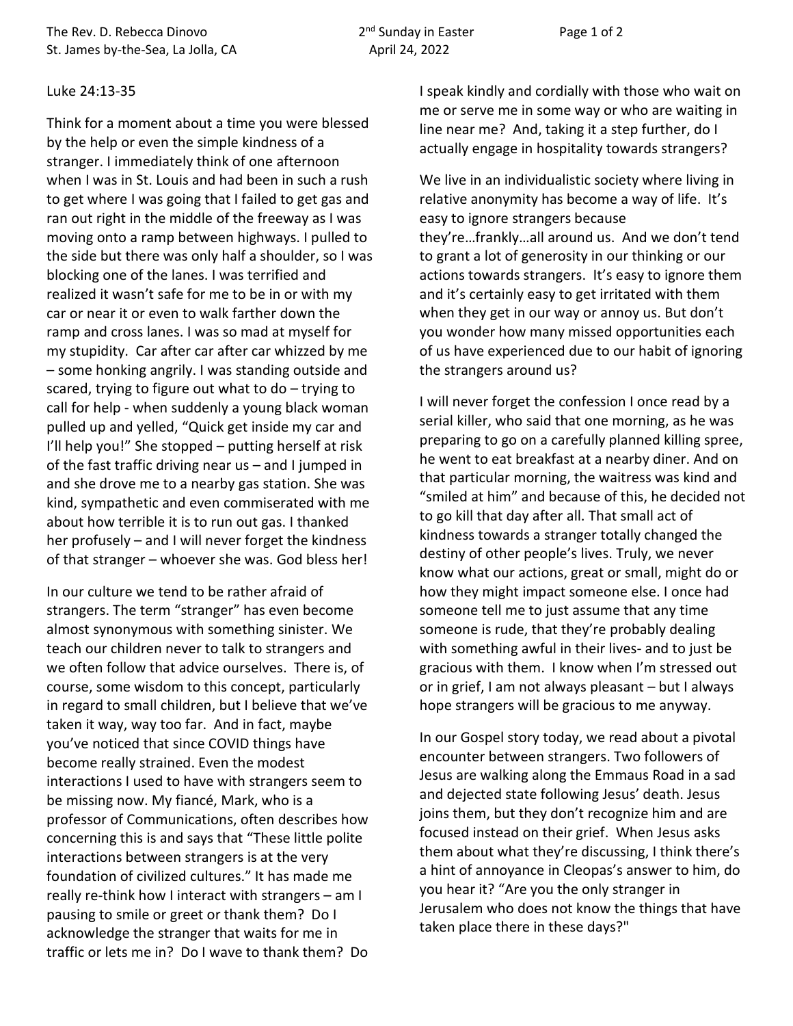The Rev. D. Rebecca Dinovo  $2^{nd}$  Sunday in Easter Page 1 of 2 St. James by-the-Sea, La Jolla, CA April 24, 2022

## Luke 24:13-35

Think for a moment about a time you were blessed by the help or even the simple kindness of a stranger. I immediately think of one afternoon when I was in St. Louis and had been in such a rush to get where I was going that I failed to get gas and ran out right in the middle of the freeway as I was moving onto a ramp between highways. I pulled to the side but there was only half a shoulder, so I was blocking one of the lanes. I was terrified and realized it wasn't safe for me to be in or with my car or near it or even to walk farther down the ramp and cross lanes. I was so mad at myself for my stupidity. Car after car after car whizzed by me – some honking angrily. I was standing outside and scared, trying to figure out what to do – trying to call for help - when suddenly a young black woman pulled up and yelled, "Quick get inside my car and I'll help you!" She stopped – putting herself at risk of the fast traffic driving near us – and I jumped in and she drove me to a nearby gas station. She was kind, sympathetic and even commiserated with me about how terrible it is to run out gas. I thanked her profusely – and I will never forget the kindness of that stranger – whoever she was. God bless her!

In our culture we tend to be rather afraid of strangers. The term "stranger" has even become almost synonymous with something sinister. We teach our children never to talk to strangers and we often follow that advice ourselves. There is, of course, some wisdom to this concept, particularly in regard to small children, but I believe that we've taken it way, way too far. And in fact, maybe you've noticed that since COVID things have become really strained. Even the modest interactions I used to have with strangers seem to be missing now. My fiancé, Mark, who is a professor of Communications, often describes how concerning this is and says that "These little polite interactions between strangers is at the very foundation of civilized cultures." It has made me really re-think how I interact with strangers – am I pausing to smile or greet or thank them? Do I acknowledge the stranger that waits for me in traffic or lets me in? Do I wave to thank them? Do

I speak kindly and cordially with those who wait on me or serve me in some way or who are waiting in line near me? And, taking it a step further, do I actually engage in hospitality towards strangers?

We live in an individualistic society where living in relative anonymity has become a way of life. It's easy to ignore strangers because they're…frankly…all around us. And we don't tend to grant a lot of generosity in our thinking or our actions towards strangers. It's easy to ignore them and it's certainly easy to get irritated with them when they get in our way or annoy us. But don't you wonder how many missed opportunities each of us have experienced due to our habit of ignoring the strangers around us?

I will never forget the confession I once read by a serial killer, who said that one morning, as he was preparing to go on a carefully planned killing spree, he went to eat breakfast at a nearby diner. And on that particular morning, the waitress was kind and "smiled at him" and because of this, he decided not to go kill that day after all. That small act of kindness towards a stranger totally changed the destiny of other people's lives. Truly, we never know what our actions, great or small, might do or how they might impact someone else. I once had someone tell me to just assume that any time someone is rude, that they're probably dealing with something awful in their lives- and to just be gracious with them. I know when I'm stressed out or in grief, I am not always pleasant – but I always hope strangers will be gracious to me anyway.

In our Gospel story today, we read about a pivotal encounter between strangers. Two followers of Jesus are walking along the Emmaus Road in a sad and dejected state following Jesus' death. Jesus joins them, but they don't recognize him and are focused instead on their grief. When Jesus asks them about what they're discussing, I think there's a hint of annoyance in Cleopas's answer to him, do you hear it? "Are you the only stranger in Jerusalem who does not know the things that have taken place there in these days?"